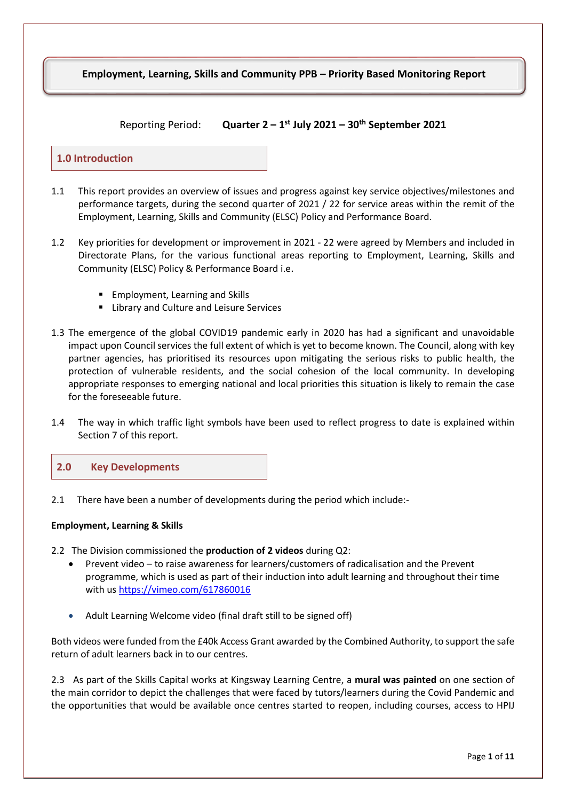# **Employment, Learning, Skills and Community PPB – Priority Based Monitoring Report**

#### $Reportine Period:$ **st July 2021 – 30th September 2021**

#### **1.0 Introduction**

- 1.1 This report provides an overview of issues and progress against key service objectives/milestones and performance targets, during the second quarter of 2021 / 22 for service areas within the remit of the Employment, Learning, Skills and Community (ELSC) Policy and Performance Board.
- 1.2 Key priorities for development or improvement in 2021 22 were agreed by Members and included in Directorate Plans, for the various functional areas reporting to Employment, Learning, Skills and Community (ELSC) Policy & Performance Board i.e.
	- **Employment, Learning and Skills**
	- **E.** Library and Culture and Leisure Services
- 1.3 The emergence of the global COVID19 pandemic early in 2020 has had a significant and unavoidable impact upon Council services the full extent of which is yet to become known. The Council, along with key partner agencies, has prioritised its resources upon mitigating the serious risks to public health, the protection of vulnerable residents, and the social cohesion of the local community. In developing appropriate responses to emerging national and local priorities this situation is likely to remain the case for the foreseeable future.
- 1.4 The way in which traffic light symbols have been used to reflect progress to date is explained within Section 7 of this report.



2.1 There have been a number of developments during the period which include:-

#### **Employment, Learning & Skills**

- 2.2 The Division commissioned the **production of 2 videos** during Q2:
	- Prevent video to raise awareness for learners/customers of radicalisation and the Prevent programme, which is used as part of their induction into adult learning and throughout their time with us<https://vimeo.com/617860016>
	- Adult Learning Welcome video (final draft still to be signed off)

Both videos were funded from the £40k Access Grant awarded by the Combined Authority, to support the safe return of adult learners back in to our centres.

2.3 As part of the Skills Capital works at Kingsway Learning Centre, a **mural was painted** on one section of the main corridor to depict the challenges that were faced by tutors/learners during the Covid Pandemic and the opportunities that would be available once centres started to reopen, including courses, access to HPIJ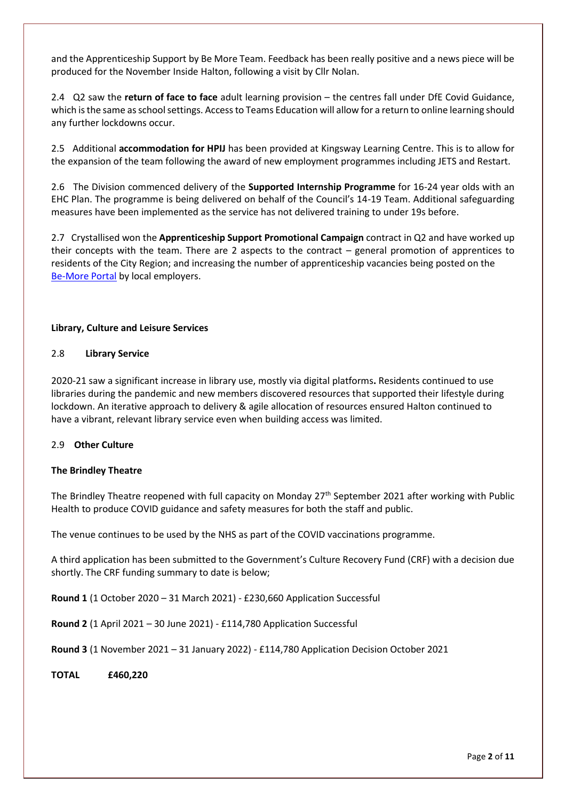and the Apprenticeship Support by Be More Team. Feedback has been really positive and a news piece will be produced for the November Inside Halton, following a visit by Cllr Nolan.

2.4 Q2 saw the **return of face to face** adult learning provision – the centres fall under DfE Covid Guidance, which is the same as school settings. Access to Teams Education will allow for a return to online learning should any further lockdowns occur.

2.5 Additional **accommodation for HPIJ** has been provided at Kingsway Learning Centre. This is to allow for the expansion of the team following the award of new employment programmes including JETS and Restart.

2.6 The Division commenced delivery of the **Supported Internship Programme** for 16-24 year olds with an EHC Plan. The programme is being delivered on behalf of the Council's 14-19 Team. Additional safeguarding measures have been implemented as the service has not delivered training to under 19s before.

2.7 Crystallised won the **Apprenticeship Support Promotional Campaign** contract in Q2 and have worked up their concepts with the team. There are 2 aspects to the contract – general promotion of apprentices to residents of the City Region; and increasing the number of apprenticeship vacancies being posted on the [Be-More Portal](https://be-more.info/vacancies/) by local employers.

#### **Library, Culture and Leisure Services**

#### 2.8 **Library Service**

2020-21 saw a significant increase in library use, mostly via digital platforms**.** Residents continued to use libraries during the pandemic and new members discovered resources that supported their lifestyle during lockdown. An iterative approach to delivery & agile allocation of resources ensured Halton continued to have a vibrant, relevant library service even when building access was limited.

#### 2.9 **Other Culture**

#### **The Brindley Theatre**

The Brindley Theatre reopened with full capacity on Monday 27<sup>th</sup> September 2021 after working with Public Health to produce COVID guidance and safety measures for both the staff and public.

The venue continues to be used by the NHS as part of the COVID vaccinations programme.

A third application has been submitted to the Government's Culture Recovery Fund (CRF) with a decision due shortly. The CRF funding summary to date is below;

**Round 1** (1 October 2020 – 31 March 2021) - £230,660 Application Successful

**Round 2** (1 April 2021 – 30 June 2021) - £114,780 Application Successful

**Round 3** (1 November 2021 – 31 January 2022) - £114,780 Application Decision October 2021

**TOTAL £460,220**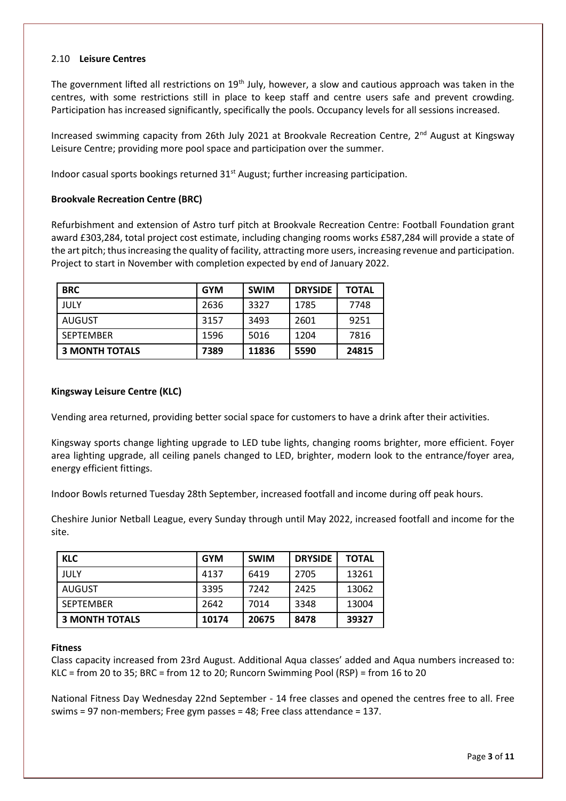#### 2.10 **Leisure Centres**

The government lifted all restrictions on 19<sup>th</sup> July, however, a slow and cautious approach was taken in the centres, with some restrictions still in place to keep staff and centre users safe and prevent crowding. Participation has increased significantly, specifically the pools. Occupancy levels for all sessions increased.

Increased swimming capacity from 26th July 2021 at Brookvale Recreation Centre, 2<sup>nd</sup> August at Kingsway Leisure Centre; providing more pool space and participation over the summer.

Indoor casual sports bookings returned 31<sup>st</sup> August; further increasing participation.

#### **Brookvale Recreation Centre (BRC)**

Refurbishment and extension of Astro turf pitch at Brookvale Recreation Centre: Football Foundation grant award £303,284, total project cost estimate, including changing rooms works £587,284 will provide a state of the art pitch; thus increasing the quality of facility, attracting more users, increasing revenue and participation. Project to start in November with completion expected by end of January 2022.

| <b>BRC</b>            | <b>GYM</b> | <b>SWIM</b> | <b>DRYSIDE</b> | TOTAL |
|-----------------------|------------|-------------|----------------|-------|
| JULY                  | 2636       | 3327        | 1785           | 7748  |
| AUGUST                | 3157       | 3493        | 2601           | 9251  |
| <b>SEPTEMBER</b>      | 1596       | 5016        | 1204           | 7816  |
| <b>3 MONTH TOTALS</b> | 7389       | 11836       | 5590           | 24815 |

#### **Kingsway Leisure Centre (KLC)**

Vending area returned, providing better social space for customers to have a drink after their activities.

Kingsway sports change lighting upgrade to LED tube lights, changing rooms brighter, more efficient. Foyer area lighting upgrade, all ceiling panels changed to LED, brighter, modern look to the entrance/foyer area, energy efficient fittings.

Indoor Bowls returned Tuesday 28th September, increased footfall and income during off peak hours.

Cheshire Junior Netball League, every Sunday through until May 2022, increased footfall and income for the site.

| <b>KLC</b>            | <b>GYM</b> | <b>SWIM</b> | <b>DRYSIDE</b> | <b>TOTAL</b> |
|-----------------------|------------|-------------|----------------|--------------|
| JULY                  | 4137       | 6419        | 2705           | 13261        |
| AUGUST                | 3395       | 7242        | 2425           | 13062        |
| <b>SEPTEMBER</b>      | 2642       | 7014        | 3348           | 13004        |
| <b>3 MONTH TOTALS</b> | 10174      | 20675       | 8478           | 39327        |

#### **Fitness**

Class capacity increased from 23rd August. Additional Aqua classes' added and Aqua numbers increased to: KLC = from 20 to 35; BRC = from 12 to 20; Runcorn Swimming Pool (RSP) = from 16 to 20

National Fitness Day Wednesday 22nd September - 14 free classes and opened the centres free to all. Free swims = 97 non-members; Free gym passes = 48; Free class attendance = 137.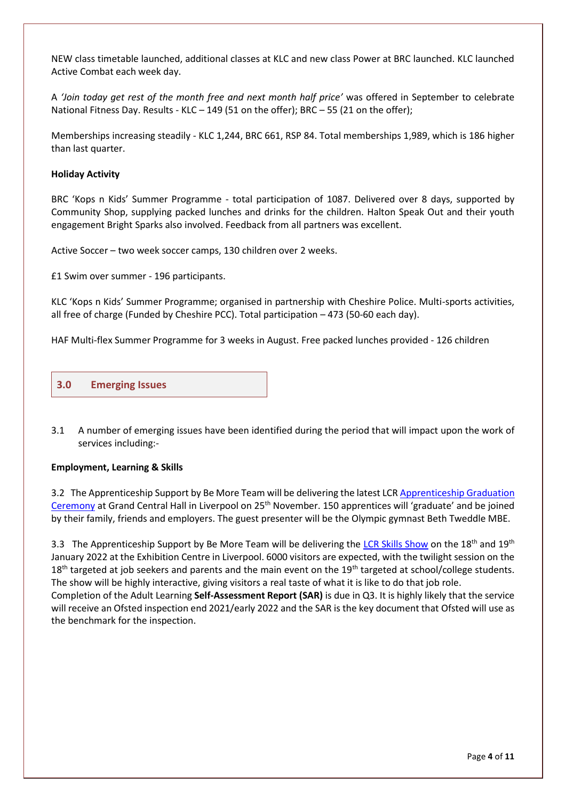NEW class timetable launched, additional classes at KLC and new class Power at BRC launched. KLC launched Active Combat each week day.

A *'Join today get rest of the month free and next month half price'* was offered in September to celebrate National Fitness Day. Results - KLC – 149 (51 on the offer); BRC – 55 (21 on the offer);

Memberships increasing steadily - KLC 1,244, BRC 661, RSP 84. Total memberships 1,989, which is 186 higher than last quarter.

#### **Holiday Activity**

BRC 'Kops n Kids' Summer Programme - total participation of 1087. Delivered over 8 days, supported by Community Shop, supplying packed lunches and drinks for the children. Halton Speak Out and their youth engagement Bright Sparks also involved. Feedback from all partners was excellent.

Active Soccer – two week soccer camps, 130 children over 2 weeks.

£1 Swim over summer - 196 participants.

KLC 'Kops n Kids' Summer Programme; organised in partnership with Cheshire Police. Multi-sports activities, all free of charge (Funded by Cheshire PCC). Total participation – 473 (50-60 each day).

HAF Multi-flex Summer Programme for 3 weeks in August. Free packed lunches provided - 126 children



3.1 A number of emerging issues have been identified during the period that will impact upon the work of services including:-

#### **Employment, Learning & Skills**

3.2 The Apprenticeship Support by Be More Team will be delivering the latest LCR Apprenticeship Graduation [Ceremony](https://be-more.info/2021/08/24/apprenticeship-graduation-venue-announced/) at Grand Central Hall in Liverpool on 25th November. 150 apprentices will 'graduate' and be joined by their family, friends and employers. The guest presenter will be the Olympic gymnast Beth Tweddle MBE.

3.3 The Apprenticeship Support by Be More Team will be delivering the [LCR Skills Show](https://www.lcrskillshow.com/) on the 18<sup>th</sup> and 19<sup>th</sup> January 2022 at the Exhibition Centre in Liverpool. 6000 visitors are expected, with the twilight session on the  $18<sup>th</sup>$  targeted at job seekers and parents and the main event on the  $19<sup>th</sup>$  targeted at school/college students. The show will be highly interactive, giving visitors a real taste of what it is like to do that job role. Completion of the Adult Learning **Self-Assessment Report (SAR)** is due in Q3. It is highly likely that the service will receive an Ofsted inspection end 2021/early 2022 and the SAR is the key document that Ofsted will use as the benchmark for the inspection.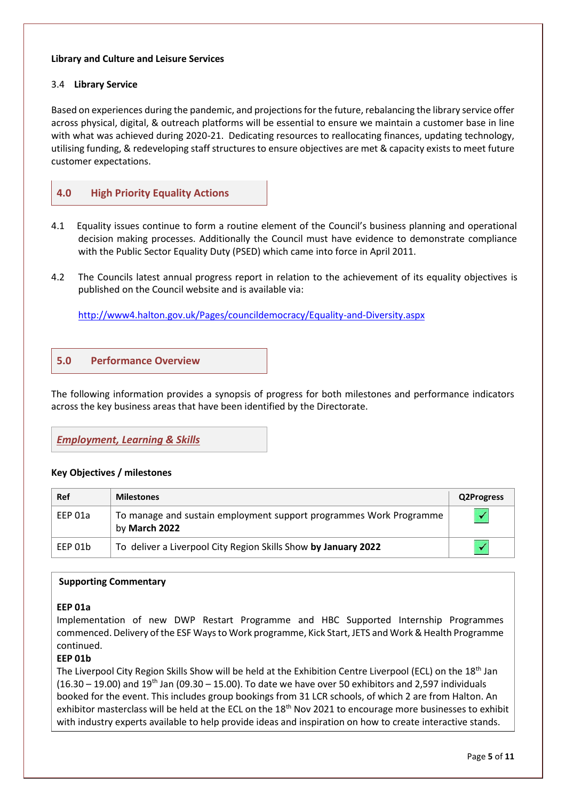#### **Library and Culture and Leisure Services**

#### 3.4 **Library Service**

Based on experiences during the pandemic, and projections for the future, rebalancing the library service offer across physical, digital, & outreach platforms will be essential to ensure we maintain a customer base in line with what was achieved during 2020-21. Dedicating resources to reallocating finances, updating technology, utilising funding, & redeveloping staff structures to ensure objectives are met & capacity exists to meet future customer expectations.



- 4.1 Equality issues continue to form a routine element of the Council's business planning and operational decision making processes. Additionally the Council must have evidence to demonstrate compliance with the Public Sector Equality Duty (PSED) which came into force in April 2011.
- 4.2 The Councils latest annual progress report in relation to the achievement of its equality objectives is published on the Council website and is available via:

<http://www4.halton.gov.uk/Pages/councildemocracy/Equality-and-Diversity.aspx>

# **5.0 Performance Overview**

The following information provides a synopsis of progress for both milestones and performance indicators across the key business areas that have been identified by the Directorate.

### *Employment, Learning & Skills*

#### **Key Objectives / milestones**

| Ref     | <b>Milestones</b>                                                                   | <b>Q2Progress</b> |
|---------|-------------------------------------------------------------------------------------|-------------------|
| EEP 01a | To manage and sustain employment support programmes Work Programme<br>by March 2022 |                   |
| EEP 01b | To deliver a Liverpool City Region Skills Show by January 2022                      |                   |

#### **Supporting Commentary**

#### **EEP 01a**

Implementation of new DWP Restart Programme and HBC Supported Internship Programmes commenced. Delivery of the ESF Ways to Work programme, Kick Start, JETS and Work & Health Programme continued.

#### **EEP 01b**

The Liverpool City Region Skills Show will be held at the Exhibition Centre Liverpool (ECL) on the 18<sup>th</sup> Jan  $(16.30 - 19.00)$  and  $19<sup>th</sup>$  Jan (09.30 – 15.00). To date we have over 50 exhibitors and 2,597 individuals booked for the event. This includes group bookings from 31 LCR schools, of which 2 are from Halton. An exhibitor masterclass will be held at the ECL on the 18<sup>th</sup> Nov 2021 to encourage more businesses to exhibit with industry experts available to help provide ideas and inspiration on how to create interactive stands.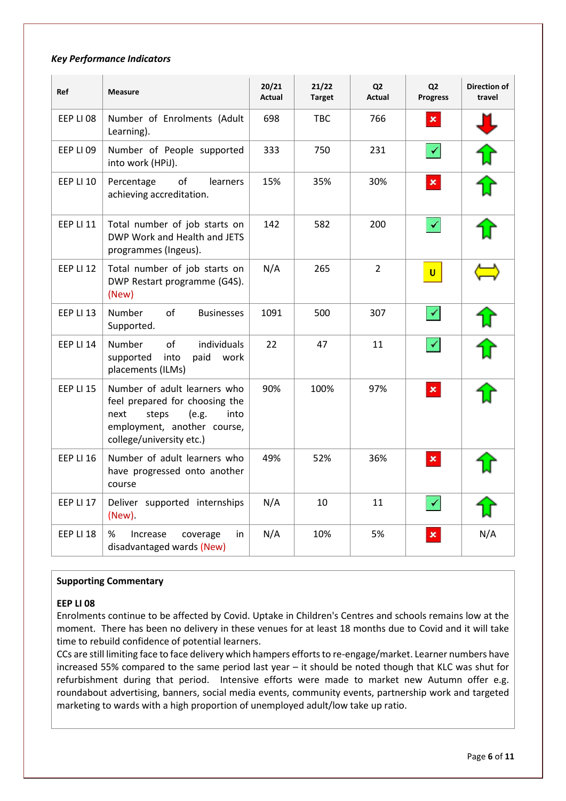#### *Key Performance Indicators*

| Ref              | <b>Measure</b>                                                                                                                                              | 20/21<br><b>Actual</b> | 21/22<br><b>Target</b> | Q <sub>2</sub><br><b>Actual</b> | Q <sub>2</sub><br><b>Progress</b> | <b>Direction of</b><br>travel |
|------------------|-------------------------------------------------------------------------------------------------------------------------------------------------------------|------------------------|------------------------|---------------------------------|-----------------------------------|-------------------------------|
| EEP LI 08        | Number of Enrolments (Adult<br>Learning).                                                                                                                   | 698                    | TBC.                   | 766                             | $\pmb{\times}$                    |                               |
| EEP LI 09        | Number of People supported<br>into work (HPiJ).                                                                                                             | 333                    | 750                    | 231                             |                                   |                               |
| <b>EEP LI 10</b> | of<br>Percentage<br>learners<br>achieving accreditation.                                                                                                    | 15%                    | 35%                    | 30%                             | $\pmb{\times}$                    |                               |
| <b>EEP LI 11</b> | Total number of job starts on<br>DWP Work and Health and JETS<br>programmes (Ingeus).                                                                       | 142                    | 582                    | 200                             |                                   |                               |
| EEP LI 12        | Total number of job starts on<br>DWP Restart programme (G4S).<br>(New)                                                                                      | N/A                    | 265                    | $\overline{2}$                  | U.                                |                               |
| EEP LI 13        | Number<br>of<br><b>Businesses</b><br>Supported.                                                                                                             | 1091                   | 500                    | 307                             |                                   |                               |
| <b>EEP LI 14</b> | <b>Number</b><br>of<br>individuals<br>into<br>supported<br>paid<br>work<br>placements (ILMs)                                                                | 22                     | 47                     | 11                              |                                   |                               |
| <b>EEP LI 15</b> | Number of adult learners who<br>feel prepared for choosing the<br>(e.g.<br>next<br>steps<br>into<br>employment, another course,<br>college/university etc.) | 90%                    | 100%                   | 97%                             | $\pmb{\times}$                    |                               |
| EEP LI 16        | Number of adult learners who<br>have progressed onto another<br>course                                                                                      | 49%                    | 52%                    | 36%                             | $\pmb{\times}$                    |                               |
| EEP LI 17        | Deliver supported internships<br>(New)                                                                                                                      | N/A                    | 10                     | 11                              |                                   |                               |
| EEP LI 18        | %<br>Increase<br>coverage<br>in<br>disadvantaged wards (New)                                                                                                | N/A                    | 10%                    | 5%                              | $\pmb{\times}$                    | N/A                           |

#### **Supporting Commentary**

#### **EEP LI 08**

Enrolments continue to be affected by Covid. Uptake in Children's Centres and schools remains low at the moment. There has been no delivery in these venues for at least 18 months due to Covid and it will take time to rebuild confidence of potential learners.

CCs are still limiting face to face delivery which hampers efforts to re-engage/market. Learner numbers have increased 55% compared to the same period last year – it should be noted though that KLC was shut for refurbishment during that period. Intensive efforts were made to market new Autumn offer e.g. roundabout advertising, banners, social media events, community events, partnership work and targeted marketing to wards with a high proportion of unemployed adult/low take up ratio.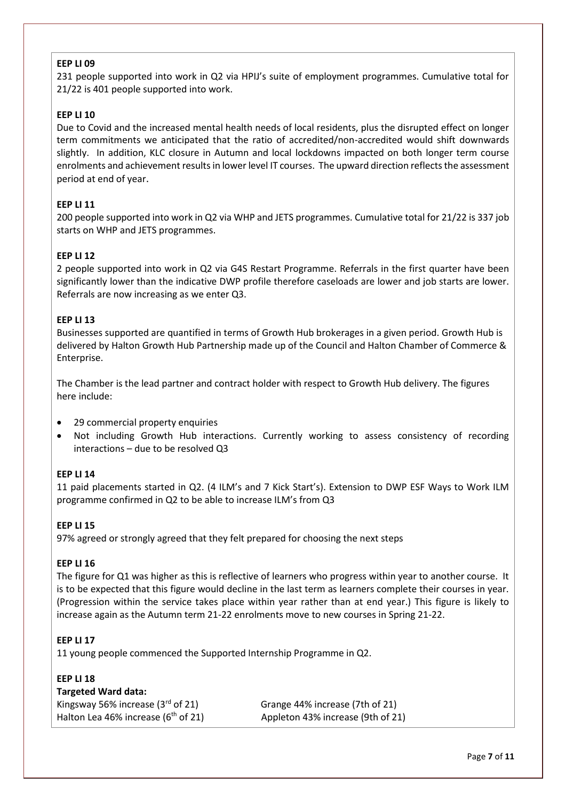### **EEP LI 09**

231 people supported into work in Q2 via HPIJ's suite of employment programmes. Cumulative total for 21/22 is 401 people supported into work.

#### **EEP LI 10**

Due to Covid and the increased mental health needs of local residents, plus the disrupted effect on longer term commitments we anticipated that the ratio of accredited/non-accredited would shift downwards slightly. In addition, KLC closure in Autumn and local lockdowns impacted on both longer term course enrolments and achievement results in lower level IT courses. The upward direction reflects the assessment period at end of year.

#### **EEP LI 11**

200 people supported into work in Q2 via WHP and JETS programmes. Cumulative total for 21/22 is 337 job starts on WHP and JETS programmes.

#### **EEP LI 12**

2 people supported into work in Q2 via G4S Restart Programme. Referrals in the first quarter have been significantly lower than the indicative DWP profile therefore caseloads are lower and job starts are lower. Referrals are now increasing as we enter Q3.

#### **EEP LI 13**

Businesses supported are quantified in terms of Growth Hub brokerages in a given period. Growth Hub is delivered by Halton Growth Hub Partnership made up of the Council and Halton Chamber of Commerce & Enterprise.

The Chamber is the lead partner and contract holder with respect to Growth Hub delivery. The figures here include:

- 29 commercial property enquiries
- Not including Growth Hub interactions. Currently working to assess consistency of recording interactions – due to be resolved Q3

#### **EEP LI 14**

11 paid placements started in Q2. (4 ILM's and 7 Kick Start's). Extension to DWP ESF Ways to Work ILM programme confirmed in Q2 to be able to increase ILM's from Q3

#### **EEP LI 15**

97% agreed or strongly agreed that they felt prepared for choosing the next steps

#### **EEP LI 16**

The figure for Q1 was higher as this is reflective of learners who progress within year to another course. It is to be expected that this figure would decline in the last term as learners complete their courses in year. (Progression within the service takes place within year rather than at end year.) This figure is likely to increase again as the Autumn term 21-22 enrolments move to new courses in Spring 21-22.

#### **EEP LI 17**

11 young people commenced the Supported Internship Programme in Q2.

| <b>EEP LI 18</b>                                |                                   |
|-------------------------------------------------|-----------------------------------|
| Targeted Ward data:                             |                                   |
| Kingsway 56% increase $(3rd$ of 21)             | Grange 44% increase (7th of 21)   |
| Halton Lea 46% increase (6 <sup>th</sup> of 21) | Appleton 43% increase (9th of 21) |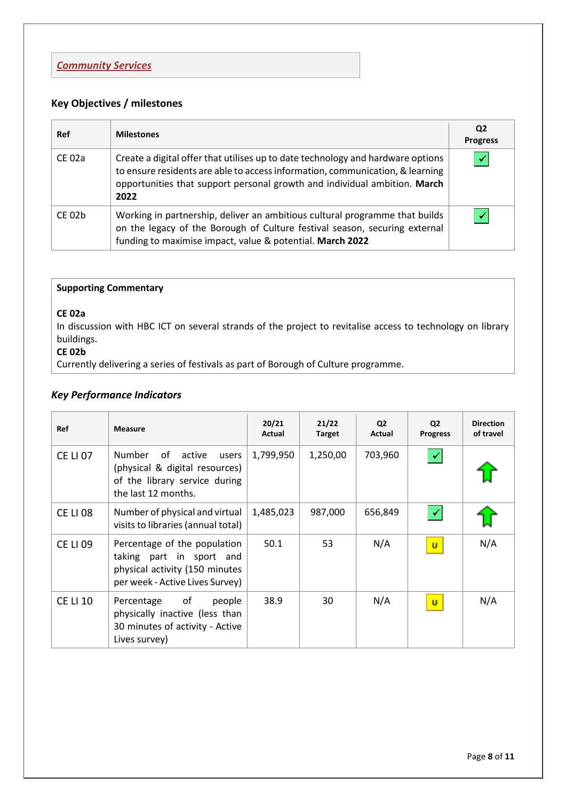# **Key Objectives / milestones**

| Ref         | <b>Milestones</b>                                                                                                                                                                                                                                     | Q <sub>2</sub><br><b>Progress</b> |
|-------------|-------------------------------------------------------------------------------------------------------------------------------------------------------------------------------------------------------------------------------------------------------|-----------------------------------|
| CE 02a      | Create a digital offer that utilises up to date technology and hardware options<br>to ensure residents are able to access information, communication, & learning<br>opportunities that support personal growth and individual ambition. March<br>2022 |                                   |
| $CE$ 02 $b$ | Working in partnership, deliver an ambitious cultural programme that builds<br>on the legacy of the Borough of Culture festival season, securing external<br>funding to maximise impact, value & potential. March 2022                                |                                   |

# **Supporting Commentary**

### **CE 02a**

In discussion with HBC ICT on several strands of the project to revitalise access to technology on library buildings.

# **CE 02b**

Currently delivering a series of festivals as part of Borough of Culture programme.

# *Key Performance Indicators*

| <b>Ref</b>      | <b>Measure</b>                                                                                                                | 20/21<br>Actual | 21/22<br><b>Target</b> | Q <sub>2</sub><br>Actual | Q <sub>2</sub><br><b>Progress</b> | <b>Direction</b><br>of travel |
|-----------------|-------------------------------------------------------------------------------------------------------------------------------|-----------------|------------------------|--------------------------|-----------------------------------|-------------------------------|
| <b>CE LI 07</b> | Number<br>active<br>of<br>users<br>(physical & digital resources)<br>of the library service during<br>the last 12 months.     | 1,799,950       | 1,250,00               | 703,960                  | $\blacktriangledown$              |                               |
| <b>CE LI 08</b> | Number of physical and virtual<br>visits to libraries (annual total)                                                          | 1,485,023       | 987,000                | 656,849                  | $\blacktriangledown$              |                               |
| <b>CE LI 09</b> | Percentage of the population<br>taking part in sport and<br>physical activity (150 minutes<br>per week - Active Lives Survey) | 50.1            | 53                     | N/A                      | $\mathbf{u}$                      | N/A                           |
| <b>CE LI 10</b> | of<br>Percentage<br>people<br>physically inactive (less than<br>30 minutes of activity - Active<br>Lives survey)              | 38.9            | 30                     | N/A                      | $\mathbf{u}$                      | N/A                           |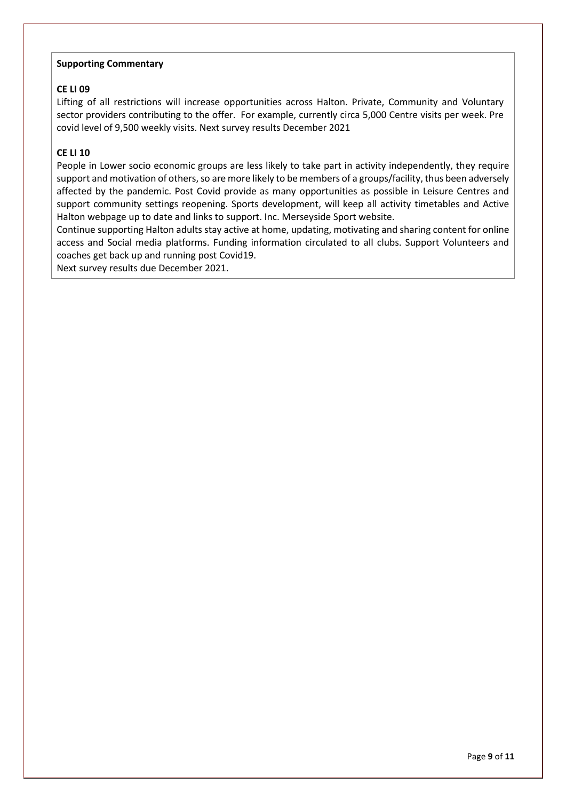#### **Supporting Commentary**

### **CE LI 09**

Lifting of all restrictions will increase opportunities across Halton. Private, Community and Voluntary sector providers contributing to the offer. For example, currently circa 5,000 Centre visits per week. Pre covid level of 9,500 weekly visits. Next survey results December 2021

### **CE LI 10**

People in Lower socio economic groups are less likely to take part in activity independently, they require support and motivation of others, so are more likely to be members of a groups/facility, thus been adversely affected by the pandemic. Post Covid provide as many opportunities as possible in Leisure Centres and support community settings reopening. Sports development, will keep all activity timetables and Active Halton webpage up to date and links to support. Inc. Merseyside Sport website.

Continue supporting Halton adults stay active at home, updating, motivating and sharing content for online access and Social media platforms. Funding information circulated to all clubs. Support Volunteers and coaches get back up and running post Covid19.

Next survey results due December 2021.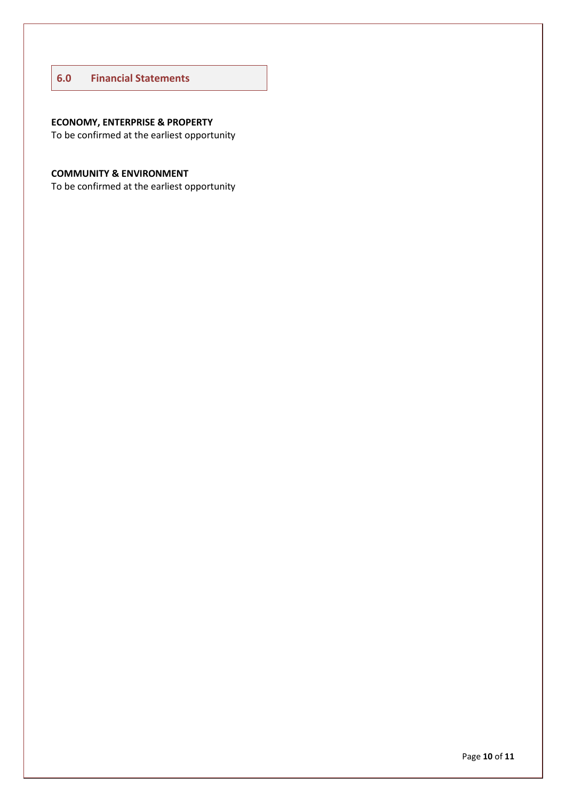### **6.0 Financial Statements**

# **ECONOMY, ENTERPRISE & PROPERTY**

To be confirmed at the earliest opportunity

# **COMMUNITY & ENVIRONMENT**

To be confirmed at the earliest opportunity